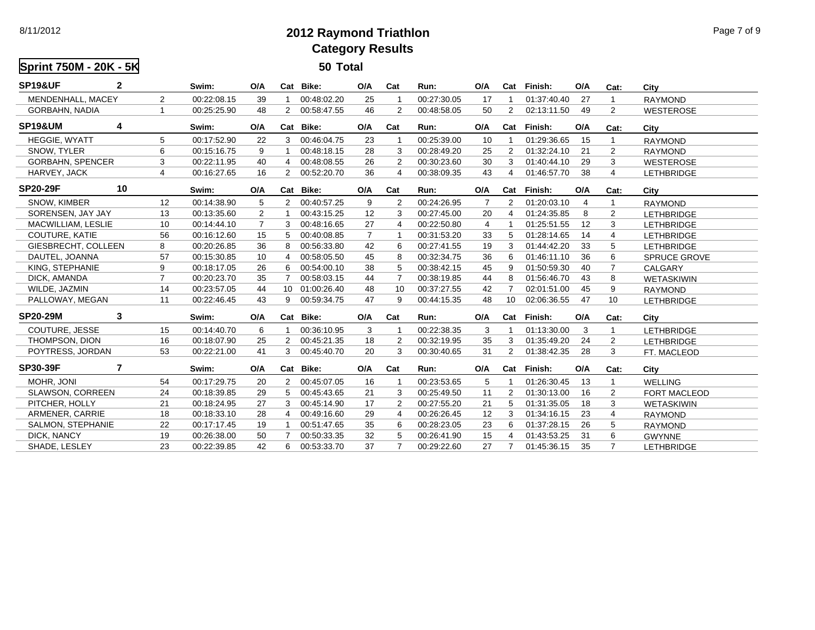8/11/2012

## **2012 Raymond TriathlonCategory Results**

**Sprint 750M - 20K - 5K 50 Total SP19&UF 2 Swim: O/A Cat Bike: O/A Cat Run: O/A Cat Finish: O/A Cat: City** MENDENHALL, MACEY 2 00:22:08.15 39 1 00:48:02.20 25 1 00:27:30.05 17 1 01:37:40.40 27 1 RAYMONDGORBAHN, NADIA 1 00:25:25.90 48 2 00:58:47.55 46 2 00:48:58.05 50 2 02:13:11.50 49 2 WESTEROSE**SP19&UM 4 Swim: O/A Cat Bike: O/A Cat Run: O/A Cat Finish: O/A Cat: City** HEGGIE, WYATT 5 00:17:52.90 22 3 00:46:04.75 23 1 00:25:39.00 10 1 01:29:36.65 15 1 RAYMONDSNOW, TYLER 6 00:15:16.75 9 1 00:48:18.15 28 3 00:28:49.20 25 2 01:32:24.10 21 2 RAYMONDGORBAHN, SPENCER 3 00:22:11.95 40 4 00:48:08.55 26 2 00:30:23.60 30 3 01:40:44.10 29 3 WESTEROSEHARVEY, JACK 4 00:16:27.65 16 2 00:52:20.70 36 4 00:38:09.35 43 4 01:46:57.70 38 4 LETHBRIDGELETHBRIDGE **SP20-29F 10 Swim: O/A Cat Bike: O/A Cat Run: O/A Cat Finish: O/A Cat: City** SNOW, KIMBER 12 00:14:38.90 5 2 00:40:57.25 9 2 00:24:26.95 7 2 01:20:03.10 4 1 RAYMONDSORENSEN, JAY JAY 13 00:13:35.60 2 1 00:43:15.25 12 3 00:27:45.00 20 4 01:24:35.85 8 2 LETHBRIDGEMACWILLIAM, LESLIE 10 00:14:44.10 7 3 00:48:16.65 27 4 00:22:50.80 4 1 01:25:51.55 12 3 LETHBRIDGECOUTURE, KATIE 56 00:16:12.60 15 5 00:40:08.85 7 1 00:31:53.20 33 5 01:28:14.65 14 4 LETHBRIDGE**LETHBRIDGE** GIESBRECHT, COLLEEN 8 00:20:26.85 36 8 00:56:33.80 42 6 00:27:41.55 19 3 01:44:42.20 33 5 LETHBRIDGEDAUTEL, JOANNA 57 00:15:30.85 10 4 00:58:05.50 45 8 00:32:34.75 36 6 01:46:11.10 36 6 SPRUCE GROVESPRUCE GROVE KING, STEPHANIE 9 00:18:17.05 26 6 00:54:00.10 38 5 00:38:42.15 45 9 01:50:59.30 40 7 CALGARYDICK, AMANDA 7 00:20:23.70 35 7 00:58:03.15 44 7 00:38:19.85 44 8 01:56:46.70 43 8 WETASKIWINWILDE, JAZMIN 14 00:23:57.05 44 10 01:00:26.40 48 10 00:37:27.55 42 7 02:01:51.00 45 9 RAYMONDPALLOWAY, MEGAN 11 00:22:46.45 43 9 00:59:34.75 47 9 00:44:15.35 48 10 02:06:36.55 47 10 LETHBRIDGE**LETHBRIDGE SP20-29M 3 Swim: O/A Cat Bike: O/A Cat Run: O/A Cat Finish: O/A Cat: City** COUTURE, JESSE 15 00:14:40.70 6 1 00:36:10.95 3 1 00:22:38.35 3 1 01:13:30.00 3 1 LETHBRIDGETHOMPSON, DION 16 00:18:07.90 25 2 00:45:21.35 18 2 00:32:19.95 35 3 01:35:49.20 24 2 LETHBRIDGEPOYTRESS, JORDAN 53 00:22:21.00 41 3 00:45:40.70 20 3 00:30:40.65 31 2 01:38:42.35 28 3 FT. MACLEODFT. MACLEOD **SP30-39F 7 Swim: O/A Cat Bike: O/A Cat Run: O/A Cat Finish: O/A Cat: City** MOHR, JONI 54 00:17:29.75 20 2 00:45:07.05 16 1 00:23:53.65 5 1 01:26:30.45 13 1 WELLINGSLAWSON, CORREEN 24 00:18:39.85 29 5 00:45:43.65 21 3 00:25:49.50 11 2 01:30:13.00 16 2 FORT MACLEODPITCHER, HOLLY 21 00:18:24.95 27 3 00:45:14.90 17 2 00:27:55.20 21 5 01:31:35.05 18 3 WETASKIWIN**WETASKIWIN** ARMENER, CARRIE 18 00:18:33.10 28 4 00:49:16.60 29 4 00:26:26.45 12 3 01:34:16.15 23 4 RAYMONDSALMON, STEPHANIE 22 00:17:17.45 19 1 00:51:47.65 35 6 00:28:23.05 23 6 01:37:28.15 26 5 RAYMONDDICK, NANCY 19 00:26:38.00 50 7 00:50:33.35 32 5 00:26:41.90 15 4 01:43:53.25 31 6 GWYNNE**GWYNNE** SHADE, LESLEY23 00:22:39.85 42 6 00:53:33.70 37 7 00:29:22.60 27 7 01:45:36.15 35 7 LETHBRIDGE